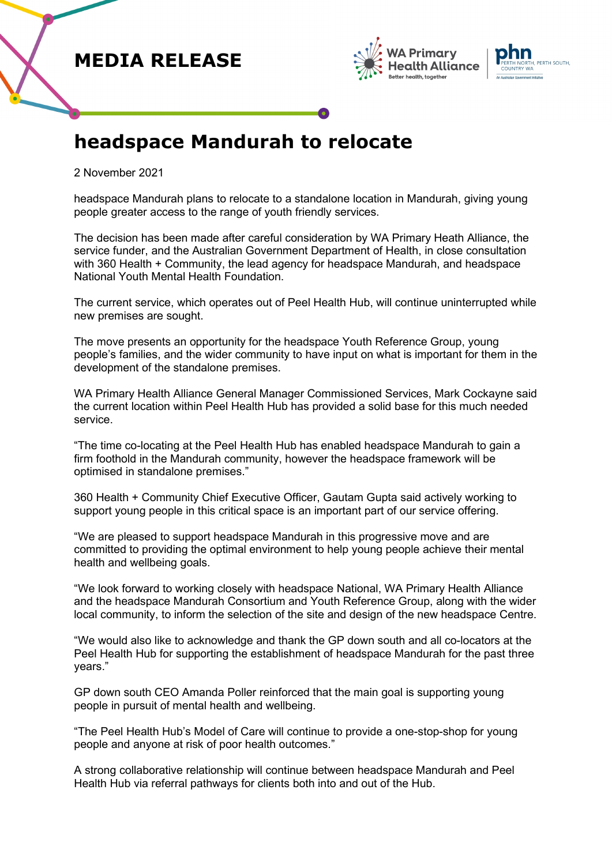## **MEDIA RELEASE**





## **headspace Mandurah to relocate**

2 November 2021

headspace Mandurah plans to relocate to a standalone location in Mandurah, giving young people greater access to the range of youth friendly services.

The decision has been made after careful consideration by WA Primary Heath Alliance, the service funder, and the Australian Government Department of Health, in close consultation with 360 Health + Community, the lead agency for headspace Mandurah, and headspace National Youth Mental Health Foundation.

The current service, which operates out of Peel Health Hub, will continue uninterrupted while new premises are sought.

The move presents an opportunity for the headspace Youth Reference Group, young people's families, and the wider community to have input on what is important for them in the development of the standalone premises.

WA Primary Health Alliance General Manager Commissioned Services, Mark Cockayne said the current location within Peel Health Hub has provided a solid base for this much needed service.

"The time co-locating at the Peel Health Hub has enabled headspace Mandurah to gain a firm foothold in the Mandurah community, however the headspace framework will be optimised in standalone premises."

360 Health + Community Chief Executive Officer, Gautam Gupta said actively working to support young people in this critical space is an important part of our service offering.

"We are pleased to support headspace Mandurah in this progressive move and are committed to providing the optimal environment to help young people achieve their mental health and wellbeing goals.

"We look forward to working closely with headspace National, WA Primary Health Alliance and the headspace Mandurah Consortium and Youth Reference Group, along with the wider local community, to inform the selection of the site and design of the new headspace Centre.

"We would also like to acknowledge and thank the GP down south and all co-locators at the Peel Health Hub for supporting the establishment of headspace Mandurah for the past three years."

GP down south CEO Amanda Poller reinforced that the main goal is supporting young people in pursuit of mental health and wellbeing.

"The Peel Health Hub's Model of Care will continue to provide a one-stop-shop for young people and anyone at risk of poor health outcomes."

A strong collaborative relationship will continue between headspace Mandurah and Peel Health Hub via referral pathways for clients both into and out of the Hub.